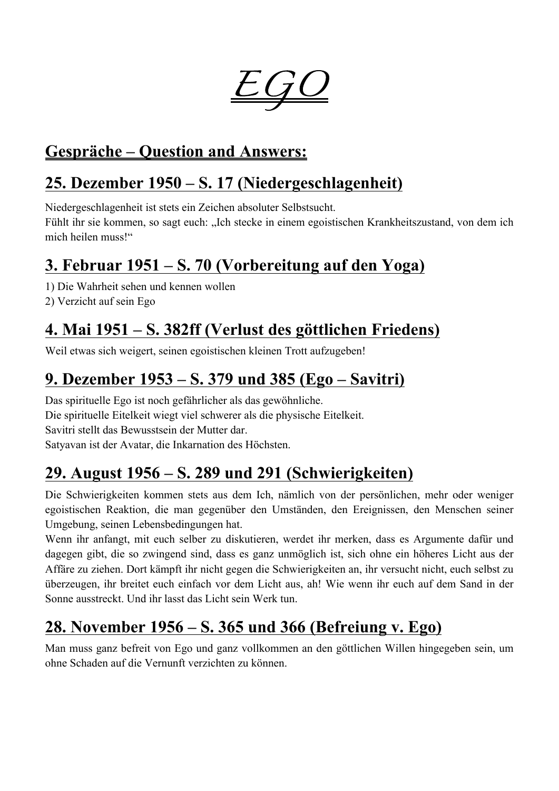

#### **Gespräche – Question and Answers:**

#### **25. Dezember 1950 – S. 17 (Niedergeschlagenheit)**

Niedergeschlagenheit ist stets ein Zeichen absoluter Selbstsucht.

Fühlt ihr sie kommen, so sagt euch: "Ich stecke in einem egoistischen Krankheitszustand, von dem ich mich heilen muss!"

### **3. Februar 1951 – S. 70 (Vorbereitung auf den Yoga)**

1) Die Wahrheit sehen und kennen wollen

2) Verzicht auf sein Ego

### **4. Mai 1951 – S. 382ff (Verlust des göttlichen Friedens)**

Weil etwas sich weigert, seinen egoistischen kleinen Trott aufzugeben!

# **9. Dezember 1953 – S. 379 und 385 (Ego – Savitri)**

Das spirituelle Ego ist noch gefährlicher als das gewöhnliche. Die spirituelle Eitelkeit wiegt viel schwerer als die physische Eitelkeit. Savitri stellt das Bewusstsein der Mutter dar. Satyavan ist der Avatar, die Inkarnation des Höchsten.

### **29. August 1956 – S. 289 und 291 (Schwierigkeiten)**

Die Schwierigkeiten kommen stets aus dem Ich, nämlich von der persönlichen, mehr oder weniger egoistischen Reaktion, die man gegenüber den Umständen, den Ereignissen, den Menschen seiner Umgebung, seinen Lebensbedingungen hat.

Wenn ihr anfangt, mit euch selber zu diskutieren, werdet ihr merken, dass es Argumente dafür und dagegen gibt, die so zwingend sind, dass es ganz unmöglich ist, sich ohne ein höheres Licht aus der Affäre zu ziehen. Dort kämpft ihr nicht gegen die Schwierigkeiten an, ihr versucht nicht, euch selbst zu überzeugen, ihr breitet euch einfach vor dem Licht aus, ah! Wie wenn ihr euch auf dem Sand in der Sonne ausstreckt. Und ihr lasst das Licht sein Werk tun.

# **28. November 1956 – S. 365 und 366 (Befreiung v. Ego)**

Man muss ganz befreit von Ego und ganz vollkommen an den göttlichen Willen hingegeben sein, um ohne Schaden auf die Vernunft verzichten zu können.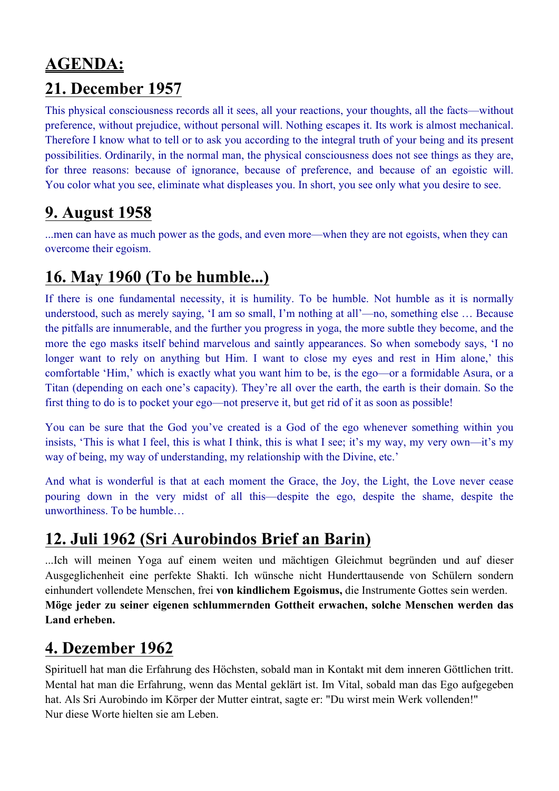### **AGENDA: 21. December 1957**

This physical consciousness records all it sees, all your reactions, your thoughts, all the facts—without preference, without prejudice, without personal will. Nothing escapes it. Its work is almost mechanical. Therefore I know what to tell or to ask you according to the integral truth of your being and its present possibilities. Ordinarily, in the normal man, the physical consciousness does not see things as they are, for three reasons: because of ignorance, because of preference, and because of an egoistic will. You color what you see, eliminate what displeases you. In short, you see only what you desire to see.

#### **9. August 1958**

...men can have as much power as the gods, and even more—when they are not egoists, when they can overcome their egoism.

### **16. May 1960 (To be humble...)**

If there is one fundamental necessity, it is humility. To be humble. Not humble as it is normally understood, such as merely saying, 'I am so small, I'm nothing at all'—no, something else … Because the pitfalls are innumerable, and the further you progress in yoga, the more subtle they become, and the more the ego masks itself behind marvelous and saintly appearances. So when somebody says, 'I no longer want to rely on anything but Him. I want to close my eyes and rest in Him alone,' this comfortable 'Him,' which is exactly what you want him to be, is the ego—or a formidable Asura, or a Titan (depending on each one's capacity). They're all over the earth, the earth is their domain. So the first thing to do is to pocket your ego—not preserve it, but get rid of it as soon as possible!

You can be sure that the God you've created is a God of the ego whenever something within you insists, 'This is what I feel, this is what I think, this is what I see; it's my way, my very own—it's my way of being, my way of understanding, my relationship with the Divine, etc.'

And what is wonderful is that at each moment the Grace, the Joy, the Light, the Love never cease pouring down in the very midst of all this—despite the ego, despite the shame, despite the unworthiness. To be humble…

### **12. Juli 1962 (Sri Aurobindos Brief an Barin)**

...Ich will meinen Yoga auf einem weiten und mächtigen Gleichmut begründen und auf dieser Ausgeglichenheit eine perfekte Shakti. Ich wünsche nicht Hunderttausende von Schülern sondern einhundert vollendete Menschen, frei **von kindlichem Egoismus,** die Instrumente Gottes sein werden. **Möge jeder zu seiner eigenen schlummernden Gottheit erwachen, solche Menschen werden das Land erheben.**

#### **4. Dezember 1962**

Spirituell hat man die Erfahrung des Höchsten, sobald man in Kontakt mit dem inneren Göttlichen tritt. Mental hat man die Erfahrung, wenn das Mental geklärt ist. Im Vital, sobald man das Ego aufgegeben hat. Als Sri Aurobindo im Körper der Mutter eintrat, sagte er: "Du wirst mein Werk vollenden!" Nur diese Worte hielten sie am Leben.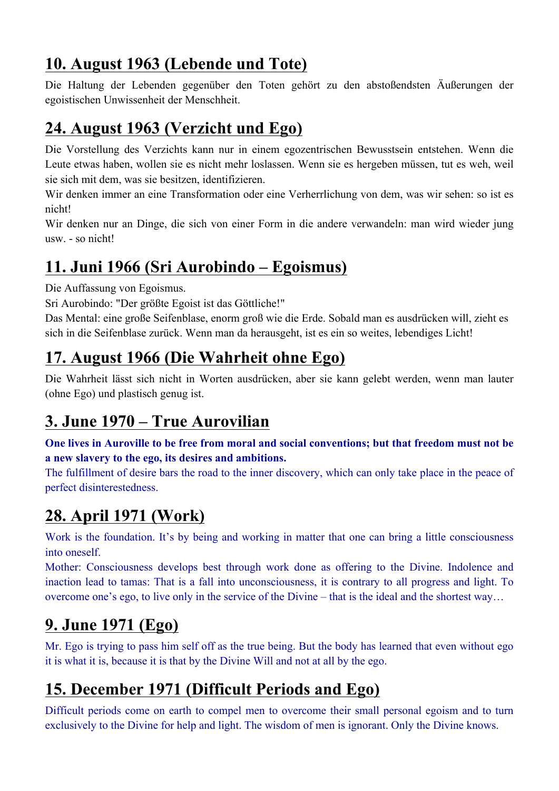# **10. August 1963 (Lebende und Tote)**

Die Haltung der Lebenden gegenüber den Toten gehört zu den abstoßendsten Äußerungen der egoistischen Unwissenheit der Menschheit.

# **24. August 1963 (Verzicht und Ego)**

Die Vorstellung des Verzichts kann nur in einem egozentrischen Bewusstsein entstehen. Wenn die Leute etwas haben, wollen sie es nicht mehr loslassen. Wenn sie es hergeben müssen, tut es weh, weil sie sich mit dem, was sie besitzen, identifizieren.

Wir denken immer an eine Transformation oder eine Verherrlichung von dem, was wir sehen: so ist es nicht!

Wir denken nur an Dinge, die sich von einer Form in die andere verwandeln: man wird wieder jung usw. - so nicht!

# **11. Juni 1966 (Sri Aurobindo – Egoismus)**

Die Auffassung von Egoismus.

Sri Aurobindo: "Der größte Egoist ist das Göttliche!"

Das Mental: eine große Seifenblase, enorm groß wie die Erde. Sobald man es ausdrücken will, zieht es sich in die Seifenblase zurück. Wenn man da herausgeht, ist es ein so weites, lebendiges Licht!

# **17. August 1966 (Die Wahrheit ohne Ego)**

Die Wahrheit lässt sich nicht in Worten ausdrücken, aber sie kann gelebt werden, wenn man lauter (ohne Ego) und plastisch genug ist.

# **3. June 1970 – True Aurovilian**

**One lives in Auroville to be free from moral and social conventions; but that freedom must not be a new slavery to the ego, its desires and ambitions.**

The fulfillment of desire bars the road to the inner discovery, which can only take place in the peace of perfect disinterestedness.

# **28. April 1971 (Work)**

Work is the foundation. It's by being and working in matter that one can bring a little consciousness into oneself.

Mother: Consciousness develops best through work done as offering to the Divine. Indolence and inaction lead to tamas: That is a fall into unconsciousness, it is contrary to all progress and light. To overcome one's ego, to live only in the service of the Divine – that is the ideal and the shortest way…

# **9. June 1971 (Ego)**

Mr. Ego is trying to pass him self off as the true being. But the body has learned that even without ego it is what it is, because it is that by the Divine Will and not at all by the ego.

# **15. December 1971 (Difficult Periods and Ego)**

Difficult periods come on earth to compel men to overcome their small personal egoism and to turn exclusively to the Divine for help and light. The wisdom of men is ignorant. Only the Divine knows.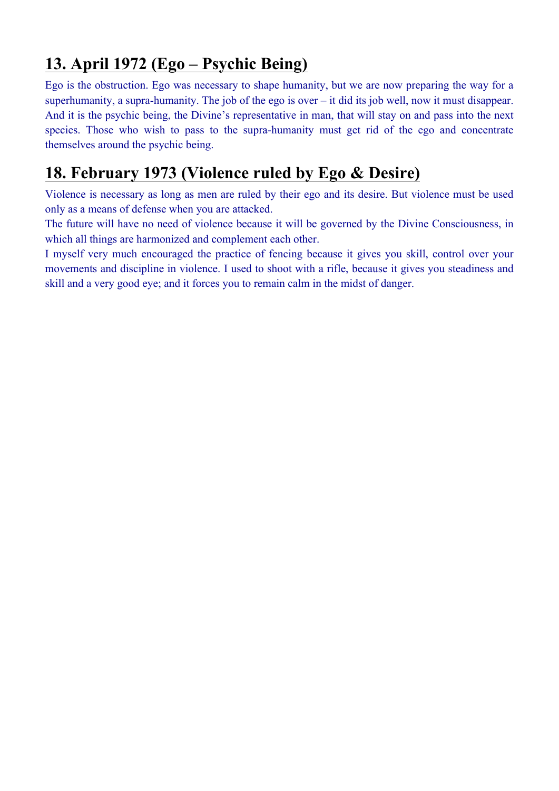### **13. April 1972 (Ego – Psychic Being)**

Ego is the obstruction. Ego was necessary to shape humanity, but we are now preparing the way for a superhumanity, a supra-humanity. The job of the ego is over – it did its job well, now it must disappear. And it is the psychic being, the Divine's representative in man, that will stay on and pass into the next species. Those who wish to pass to the supra-humanity must get rid of the ego and concentrate themselves around the psychic being.

#### **18. February 1973 (Violence ruled by Ego & Desire)**

Violence is necessary as long as men are ruled by their ego and its desire. But violence must be used only as a means of defense when you are attacked.

The future will have no need of violence because it will be governed by the Divine Consciousness, in which all things are harmonized and complement each other.

I myself very much encouraged the practice of fencing because it gives you skill, control over your movements and discipline in violence. I used to shoot with a rifle, because it gives you steadiness and skill and a very good eye; and it forces you to remain calm in the midst of danger.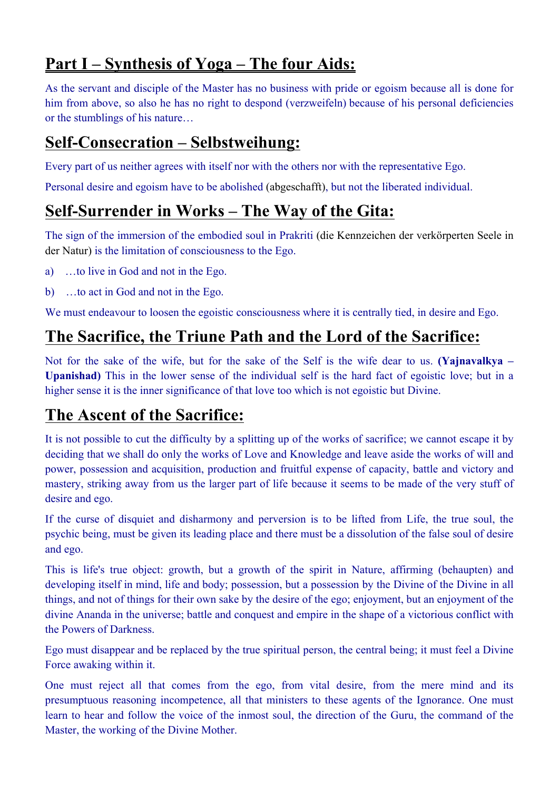### **Part I – Synthesis of Yoga – The four Aids:**

As the servant and disciple of the Master has no business with pride or egoism because all is done for him from above, so also he has no right to despond (verzweifeln) because of his personal deficiencies or the stumblings of his nature…

#### **Self-Consecration – Selbstweihung:**

Every part of us neither agrees with itself nor with the others nor with the representative Ego.

Personal desire and egoism have to be abolished (abgeschafft), but not the liberated individual.

### **Self-Surrender in Works – The Way of the Gita:**

The sign of the immersion of the embodied soul in Prakriti (die Kennzeichen der verkörperten Seele in der Natur) is the limitation of consciousness to the Ego.

- a) …to live in God and not in the Ego.
- b) …to act in God and not in the Ego.

We must endeavour to loosen the egoistic consciousness where it is centrally tied, in desire and Ego.

### **The Sacrifice, the Triune Path and the Lord of the Sacrifice:**

Not for the sake of the wife, but for the sake of the Self is the wife dear to us. **(Yajnavalkya – Upanishad)** This in the lower sense of the individual self is the hard fact of egoistic love; but in a higher sense it is the inner significance of that love too which is not egoistic but Divine.

### **The Ascent of the Sacrifice:**

It is not possible to cut the difficulty by a splitting up of the works of sacrifice; we cannot escape it by deciding that we shall do only the works of Love and Knowledge and leave aside the works of will and power, possession and acquisition, production and fruitful expense of capacity, battle and victory and mastery, striking away from us the larger part of life because it seems to be made of the very stuff of desire and ego.

If the curse of disquiet and disharmony and perversion is to be lifted from Life, the true soul, the psychic being, must be given its leading place and there must be a dissolution of the false soul of desire and ego.

This is life's true object: growth, but a growth of the spirit in Nature, affirming (behaupten) and developing itself in mind, life and body; possession, but a possession by the Divine of the Divine in all things, and not of things for their own sake by the desire of the ego; enjoyment, but an enjoyment of the divine Ananda in the universe; battle and conquest and empire in the shape of a victorious conflict with the Powers of Darkness.

Ego must disappear and be replaced by the true spiritual person, the central being; it must feel a Divine Force awaking within it.

One must reject all that comes from the ego, from vital desire, from the mere mind and its presumptuous reasoning incompetence, all that ministers to these agents of the Ignorance. One must learn to hear and follow the voice of the inmost soul, the direction of the Guru, the command of the Master, the working of the Divine Mother.